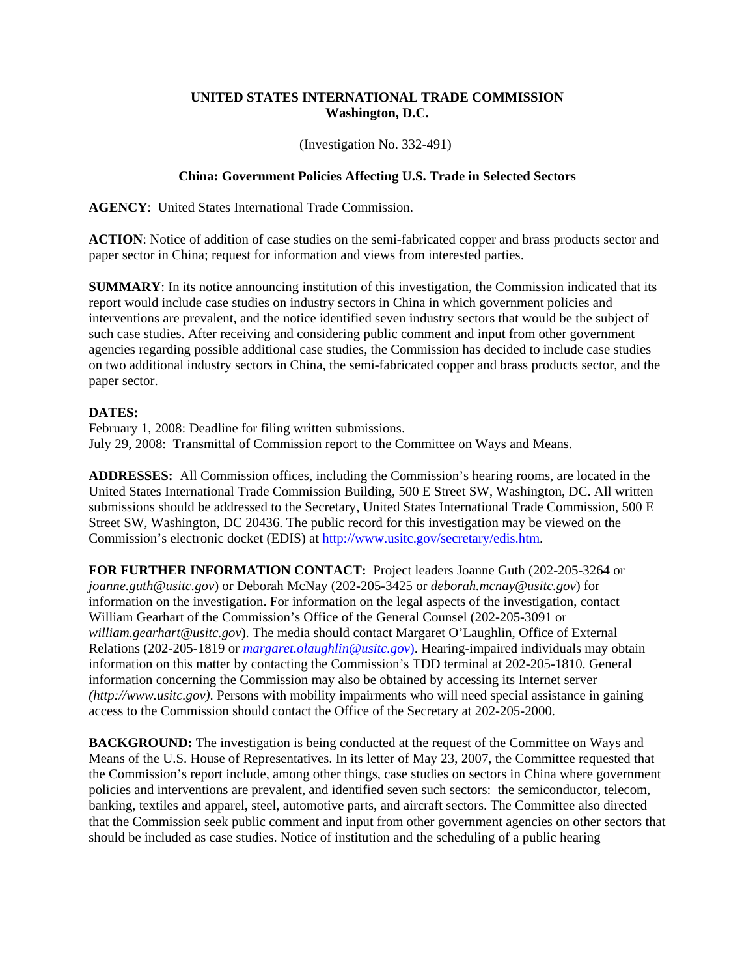## **UNITED STATES INTERNATIONAL TRADE COMMISSION Washington, D.C.**

(Investigation No. 332-491)

## **China: Government Policies Affecting U.S. Trade in Selected Sectors**

**AGENCY**: United States International Trade Commission.

**ACTION**: Notice of addition of case studies on the semi-fabricated copper and brass products sector and paper sector in China; request for information and views from interested parties.

**SUMMARY**: In its notice announcing institution of this investigation, the Commission indicated that its report would include case studies on industry sectors in China in which government policies and interventions are prevalent, and the notice identified seven industry sectors that would be the subject of such case studies. After receiving and considering public comment and input from other government agencies regarding possible additional case studies, the Commission has decided to include case studies on two additional industry sectors in China, the semi-fabricated copper and brass products sector, and the paper sector.

## **DATES:**

February 1, 2008: Deadline for filing written submissions. July 29, 2008: Transmittal of Commission report to the Committee on Ways and Means.

**ADDRESSES:** All Commission offices, including the Commission's hearing rooms, are located in the United States International Trade Commission Building, 500 E Street SW, Washington, DC. All written submissions should be addressed to the Secretary, United States International Trade Commission, 500 E Street SW, Washington, DC 20436. The public record for this investigation may be viewed on the Commission's electronic docket (EDIS) at http://www.usitc.gov/secretary/edis.htm.

**FOR FURTHER INFORMATION CONTACT:** Project leaders Joanne Guth (202-205-3264 or *joanne.guth@usitc.gov*) or Deborah McNay (202-205-3425 or *deborah.mcnay@usitc.gov*) for information on the investigation. For information on the legal aspects of the investigation, contact William Gearhart of the Commission's Office of the General Counsel (202-205-3091 or *william.gearhart@usitc.gov*). The media should contact Margaret O'Laughlin, Office of External Relations (202-205-1819 or *margaret.olaughlin@usitc.gov*). Hearing-impaired individuals may obtain information on this matter by contacting the Commission's TDD terminal at 202-205-1810. General information concerning the Commission may also be obtained by accessing its Internet server *(http://www.usitc.gov)*. Persons with mobility impairments who will need special assistance in gaining access to the Commission should contact the Office of the Secretary at 202-205-2000.

**BACKGROUND:** The investigation is being conducted at the request of the Committee on Ways and Means of the U.S. House of Representatives. In its letter of May 23, 2007, the Committee requested that the Commission's report include, among other things, case studies on sectors in China where government policies and interventions are prevalent, and identified seven such sectors: the semiconductor, telecom, banking, textiles and apparel, steel, automotive parts, and aircraft sectors. The Committee also directed that the Commission seek public comment and input from other government agencies on other sectors that should be included as case studies. Notice of institution and the scheduling of a public hearing